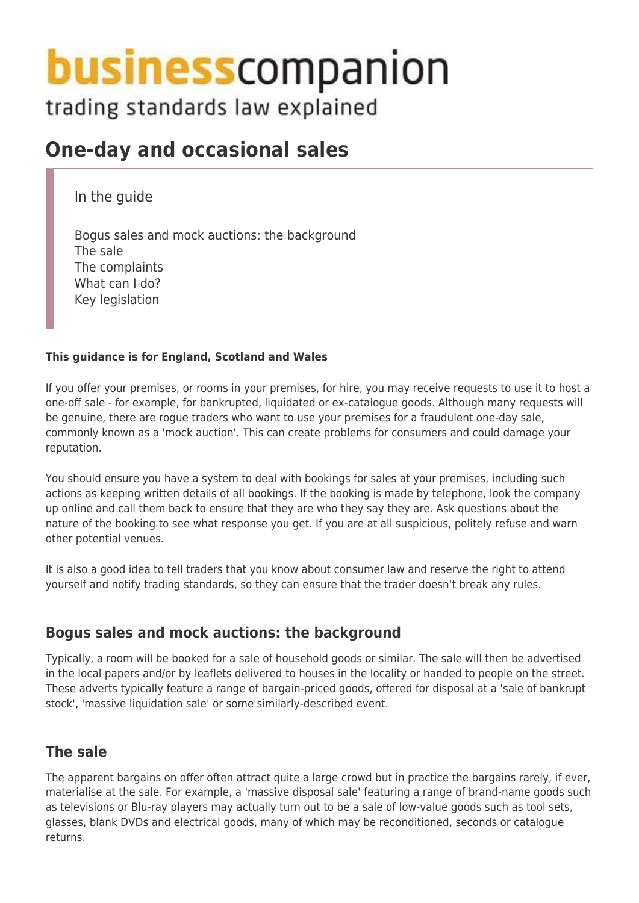# **business** companion

# trading standards law explained

## **One-day and occasional sales**

In the guide

Bogus sales and mock auctions: the background The sale The complaints What can I do? Key legislation

#### **This guidance is for England, Scotland and Wales**

If you offer your premises, or rooms in your premises, for hire, you may receive requests to use it to host a one-off sale - for example, for bankrupted, liquidated or ex-catalogue goods. Although many requests will be genuine, there are rogue traders who want to use your premises for a fraudulent one-day sale, commonly known as a 'mock auction'. This can create problems for consumers and could damage your reputation.

You should ensure you have a system to deal with bookings for sales at your premises, including such actions as keeping written details of all bookings. If the booking is made by telephone, look the company up online and call them back to ensure that they are who they say they are. Ask questions about the nature of the booking to see what response you get. If you are at all suspicious, politely refuse and warn other potential venues.

It is also a good idea to tell traders that you know about consumer law and reserve the right to attend yourself and notify trading standards, so they can ensure that the trader doesn't break any rules.

### **Bogus sales and mock auctions: the background**

Typically, a room will be booked for a sale of household goods or similar. The sale will then be advertised in the local papers and/or by leaflets delivered to houses in the locality or handed to people on the street. These adverts typically feature a range of bargain-priced goods, offered for disposal at a 'sale of bankrupt stock', 'massive liquidation sale' or some similarly-described event.

### **The sale**

The apparent bargains on offer often attract quite a large crowd but in practice the bargains rarely, if ever, materialise at the sale. For example, a 'massive disposal sale' featuring a range of brand-name goods such as televisions or Blu-ray players may actually turn out to be a sale of low-value goods such as tool sets, glasses, blank DVDs and electrical goods, many of which may be reconditioned, seconds or catalogue returns.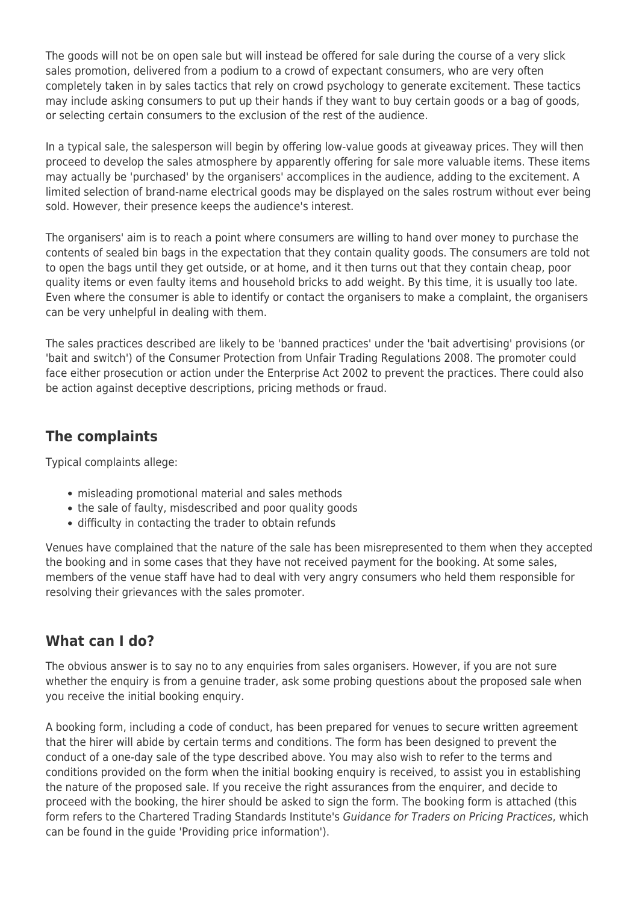The goods will not be on open sale but will instead be offered for sale during the course of a very slick sales promotion, delivered from a podium to a crowd of expectant consumers, who are very often completely taken in by sales tactics that rely on crowd psychology to generate excitement. These tactics may include asking consumers to put up their hands if they want to buy certain goods or a bag of goods, or selecting certain consumers to the exclusion of the rest of the audience.

In a typical sale, the salesperson will begin by offering low-value goods at giveaway prices. They will then proceed to develop the sales atmosphere by apparently offering for sale more valuable items. These items may actually be 'purchased' by the organisers' accomplices in the audience, adding to the excitement. A limited selection of brand-name electrical goods may be displayed on the sales rostrum without ever being sold. However, their presence keeps the audience's interest.

The organisers' aim is to reach a point where consumers are willing to hand over money to purchase the contents of sealed bin bags in the expectation that they contain quality goods. The consumers are told not to open the bags until they get outside, or at home, and it then turns out that they contain cheap, poor quality items or even faulty items and household bricks to add weight. By this time, it is usually too late. Even where the consumer is able to identify or contact the organisers to make a complaint, the organisers can be very unhelpful in dealing with them.

The sales practices described are likely to be 'banned practices' under the 'bait advertising' provisions (or 'bait and switch') of the Consumer Protection from Unfair Trading Regulations 2008. The promoter could face either prosecution or action under the Enterprise Act 2002 to prevent the practices. There could also be action against deceptive descriptions, pricing methods or fraud.

## **The complaints**

Typical complaints allege:

- misleading promotional material and sales methods
- the sale of faulty, misdescribed and poor quality goods
- difficulty in contacting the trader to obtain refunds

Venues have complained that the nature of the sale has been misrepresented to them when they accepted the booking and in some cases that they have not received payment for the booking. At some sales, members of the venue staff have had to deal with very angry consumers who held them responsible for resolving their grievances with the sales promoter.

### **What can I do?**

The obvious answer is to say no to any enquiries from sales organisers. However, if you are not sure whether the enquiry is from a genuine trader, ask some probing questions about the proposed sale when you receive the initial booking enquiry.

A booking form, including a code of conduct, has been prepared for venues to secure written agreement that the hirer will abide by certain terms and conditions. The form has been designed to prevent the conduct of a one-day sale of the type described above. You may also wish to refer to the terms and conditions provided on the form when the initial booking enquiry is received, to assist you in establishing the nature of the proposed sale. If you receive the right assurances from the enquirer, and decide to proceed with the booking, the hirer should be asked to sign the form. The booking form is attached (this form refers to the Chartered Trading Standards Institute's Guidance for Traders on Pricing Practices, which can be found in the guide 'Providing price information').